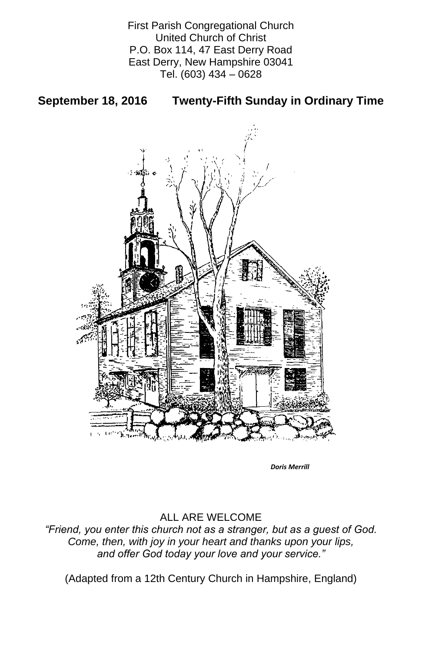First Parish Congregational Church United Church of Christ P.O. Box 114, 47 East Derry Road East Derry, New Hampshire 03041 Tel. (603) 434 – 0628

# **September 18, 2016 Twenty-Fifth Sunday in Ordinary Time**



## ALL ARE WELCOME

### *"Friend, you enter this church not as a stranger, but as a guest of God. Come, then, with joy in your heart and thanks upon your lips, and offer God today your love and your service."*

(Adapted from a 12th Century Church in Hampshire, England)

*Doris Merrill*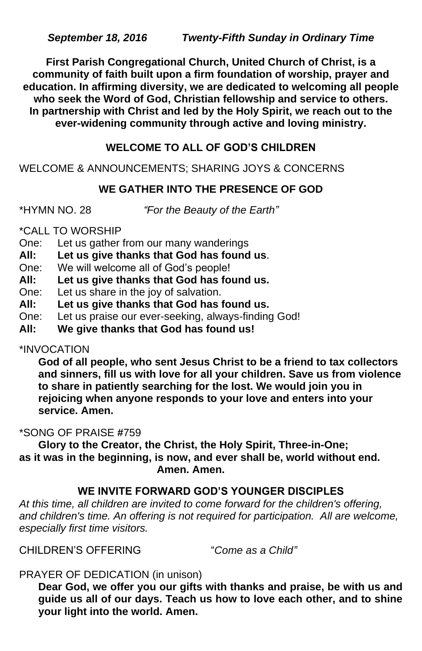**First Parish Congregational Church, United Church of Christ, is a community of faith built upon a firm foundation of worship, prayer and education. In affirming diversity, we are dedicated to welcoming all people who seek the Word of God, Christian fellowship and service to others. In partnership with Christ and led by the Holy Spirit, we reach out to the ever-widening community through active and loving ministry.**

# **WELCOME TO ALL OF GOD'S CHILDREN**

WELCOME & ANNOUNCEMENTS; SHARING JOYS & CONCERNS

# **WE GATHER INTO THE PRESENCE OF GOD**

\*HYMN NO. 28 *"For the Beauty of the Earth"*

\*CALL TO WORSHIP

- One: Let us gather from our many wanderings
- **All: Let us give thanks that God has found us**.
- One: We will welcome all of God's people!
- **All: Let us give thanks that God has found us.**
- One: Let us share in the joy of salvation.
- **All: Let us give thanks that God has found us.**
- One: Let us praise our ever-seeking, always-finding God!
- **All: We give thanks that God has found us!**

## \*INVOCATION

**God of all people, who sent Jesus Christ to be a friend to tax collectors and sinners, fill us with love for all your children. Save us from violence to share in patiently searching for the lost. We would join you in rejoicing when anyone responds to your love and enters into your service. Amen.**

# \*SONG OF PRAISE **#**759

**Glory to the Creator, the Christ, the Holy Spirit, Three-in-One; as it was in the beginning, is now, and ever shall be, world without end.**

 **Amen. Amen.**

# **WE INVITE FORWARD GOD'S YOUNGER DISCIPLES**

*At this time, all children are invited to come forward for the children's offering,*  and children's time. An offering is not required for participation. All are welcome, *especially first time visitors.*

CHILDREN'S OFFERING "*Come as a Child"*

PRAYER OF DEDICATION (in unison)

**Dear God, we offer you our gifts with thanks and praise, be with us and guide us all of our days. Teach us how to love each other, and to shine your light into the world. Amen.**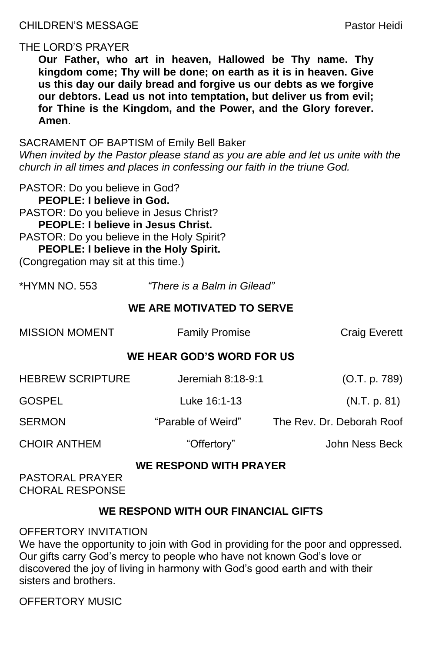# THE LORD'S PRAYER

**Our Father, who art in heaven, Hallowed be Thy name. Thy kingdom come; Thy will be done; on earth as it is in heaven. Give us this day our daily bread and forgive us our debts as we forgive our debtors. Lead us not into temptation, but deliver us from evil; for Thine is the Kingdom, and the Power, and the Glory forever. Amen**.

SACRAMENT OF BAPTISM of Emily Bell Baker

*When invited by the Pastor please stand as you are able and let us unite with the church in all times and places in confessing our faith in the triune God.*

| <b>MISSION MOMENT</b>                            | <b>Family Promise</b> | <b>Craig Everett</b>      |
|--------------------------------------------------|-----------------------|---------------------------|
| <b>WE HEAR GOD'S WORD FOR US</b>                 |                       |                           |
| <b>HEBREW SCRIPTURE</b>                          | Jeremiah 8:18-9:1     | (O.T. p. 789)             |
| <b>GOSPEL</b>                                    | Luke 16:1-13          | (N.T. p. 81)              |
| <b>SERMON</b>                                    | "Parable of Weird"    | The Rev. Dr. Deborah Roof |
| <b>CHOIR ANTHEM</b>                              | "Offertory"           | John Ness Beck            |
| <b>WE RESPOND WITH PRAYER</b><br>BAATARAL BRAVER |                       |                           |

PASTOR: Do you believe in God? **PEOPLE: I believe in God.**

PASTOR: Do you believe in Jesus Christ?

**PEOPLE: I believe in Jesus Christ.** 

PASTOR: Do you believe in the Holy Spirit?

We have the opportunity to join with God in providing for the poor and oppressed. Our gifts carry God's mercy to people who have not known God's love or discovered the joy of living in harmony with God's good earth and with their sisters and brothers.

**PEOPLE: I believe in the Holy Spirit.**

(Congregation may sit at this time.)

\*HYMN NO. 553 *"There is a Balm in Gilead"*

# **WE ARE MOTIVATED TO SERVE**

#### PASTORAL PRAYER CHORAL RESPONSE

# **WE RESPOND WITH OUR FINANCIAL GIFTS**

### OFFERTORY INVITATION

OFFERTORY MUSIC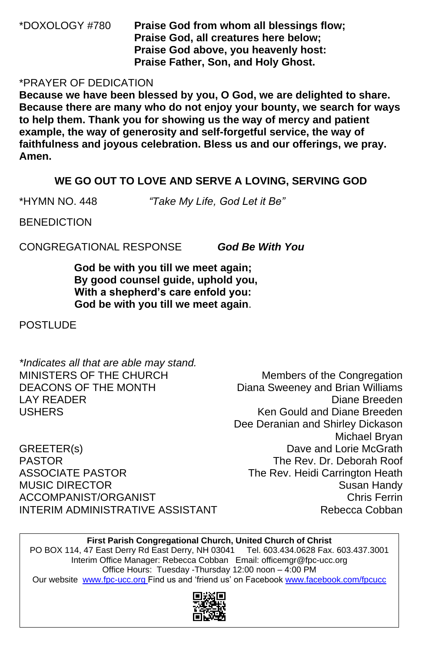\*DOXOLOGY #780 **Praise God from whom all blessings flow; Praise God, all creatures here below; Praise God above, you heavenly host: Praise Father, Son, and Holy Ghost.**

### \*PRAYER OF DEDICATION

**Because we have been blessed by you, O God, we are delighted to share. Because there are many who do not enjoy your bounty, we search for ways to help them. Thank you for showing us the way of mercy and patient example, the way of generosity and self-forgetful service, the way of faithfulness and joyous celebration. Bless us and our offerings, we pray. Amen.**

Dee Deranian and Shirley Dickason Michael Bryan GREETER(s) GREETER(s) CREETER(s) PASTOR The Rev. Dr. Deborah Roof ASSOCIATE PASTOR The Rev. Heidi Carrington Heath

## MUSIC DIRECTOR Susan Handy ACCOMPANIST/ORGANIST Chris Ferrin INTERIM ADMINISTRATIVE ASSISTANT THE Rebecca Cobban

### **WE GO OUT TO LOVE AND SERVE A LOVING, SERVING GOD**

\*HYMN NO. 448 *"Take My Life, God Let it Be"*

**BENEDICTION** 

**First Parish Congregational Church, United Church of Christ** PO BOX 114, 47 East Derry Rd East Derry, NH 03041 Tel. 603.434.0628 Fax. 603.437.3001 Interim Office Manager: Rebecca Cobban Email: officemgr@fpc-ucc.org Office Hours: Tuesday -Thursday 12:00 noon – 4:00 PM Our website [www.fpc-ucc.org](http://www.fpc-ucc.org/) Find us and 'friend us' on Facebook [www.facebook.com/fpcucc](http://www.facebook.com/fpcucc)



CONGREGATIONAL RESPONSE *God Be With You*

**God be with you till we meet again; By good counsel guide, uphold you, With a shepherd's care enfold you: God be with you till we meet again**.

### **POSTLUDE**

*\*Indicates all that are able may stand.* MINISTERS OF THE CHURCH Members of the Congregation DEACONS OF THE MONTH Diana Sweeney and Brian Williams LAY READER Diane Breeden USHERS Ken Gould and Diane Breeden